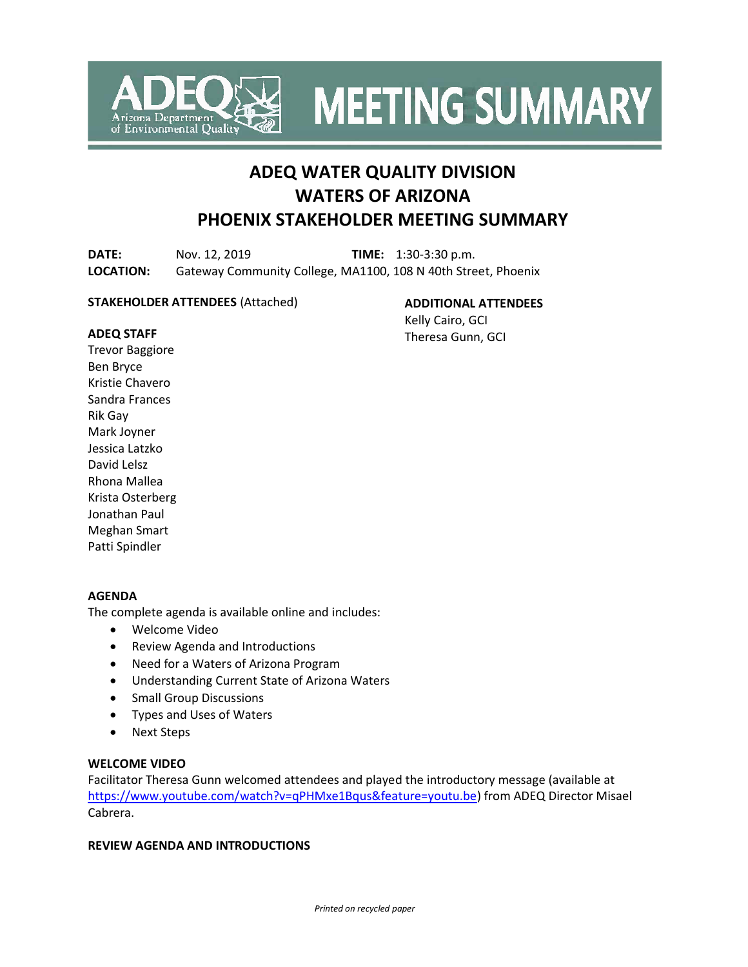

**MEETING SUMMARY** 

# **ADEQ WATER QUALITY DIVISION WATERS OF ARIZONA PHOENIX STAKEHOLDER MEETING SUMMARY**

**DATE:** Nov. 12, 2019 **TIME:** 1:30-3:30 p.m. **LOCATION:** Gateway Community College, MA1100, 108 N 40th Street, Phoenix

#### **STAKEHOLDER ATTENDEES** (Attached)

**ADDITIONAL ATTENDEES**

Kelly Cairo, GCI Theresa Gunn, GCI

#### **ADEQ STAFF**

Trevor Baggiore Ben Bryce Kristie Chavero Sandra Frances Rik Gay Mark Joyner Jessica Latzko David Lelsz Rhona Mallea Krista Osterberg Jonathan Paul Meghan Smart Patti Spindler

## **AGENDA**

The complete agenda is available online and includes:

- Welcome Video
- Review Agenda and Introductions
- Need for a Waters of Arizona Program
- Understanding Current State of Arizona Waters
- Small Group Discussions
- Types and Uses of Waters
- Next Steps

#### **WELCOME VIDEO**

Facilitator Theresa Gunn welcomed attendees and played the introductory message (available at [https://www.youtube.com/watch?v=qPHMxe1Bqus&feature=youtu.be\)](https://www.youtube.com/watch?v=qPHMxe1Bqus&feature=youtu.be) from ADEQ Director Misael Cabrera.

# **REVIEW AGENDA AND INTRODUCTIONS**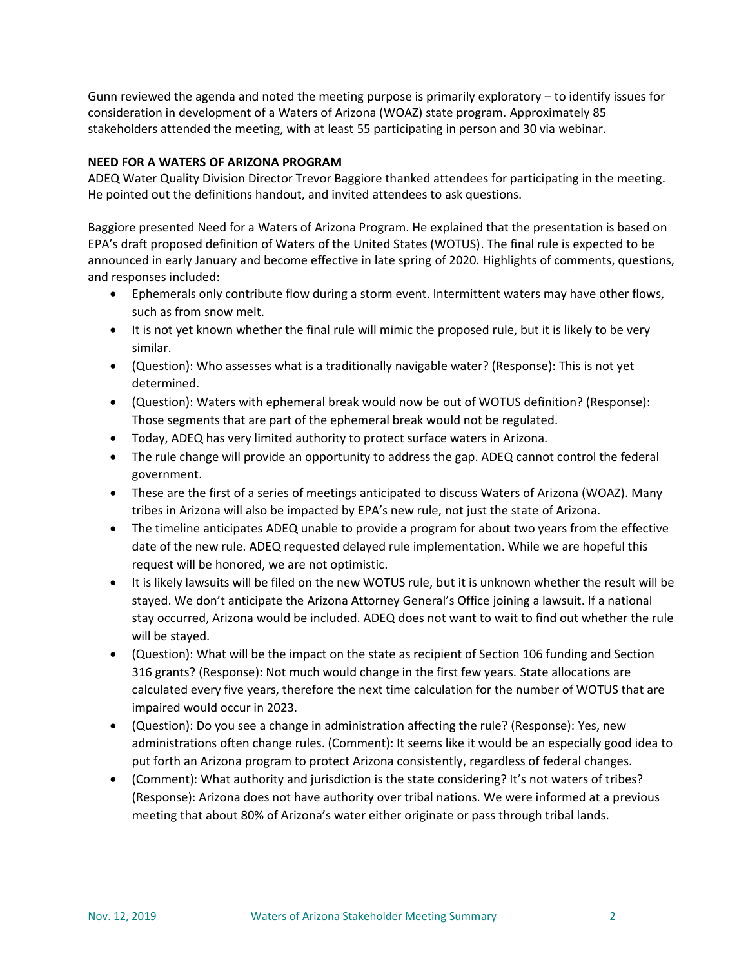Gunn reviewed the agenda and noted the meeting purpose is primarily exploratory – to identify issues for consideration in development of a Waters of Arizona (WOAZ) state program. Approximately 85 stakeholders attended the meeting, with at least 55 participating in person and 30 via webinar.

## **NEED FOR A WATERS OF ARIZONA PROGRAM**

ADEQ Water Quality Division Director Trevor Baggiore thanked attendees for participating in the meeting. He pointed out the definitions handout, and invited attendees to ask questions.

Baggiore presented Need for a Waters of Arizona Program. He explained that the presentation is based on EPA's draft proposed definition of Waters of the United States (WOTUS). The final rule is expected to be announced in early January and become effective in late spring of 2020. Highlights of comments, questions, and responses included:

- Ephemerals only contribute flow during a storm event. Intermittent waters may have other flows, such as from snow melt.
- It is not yet known whether the final rule will mimic the proposed rule, but it is likely to be very similar.
- (Question): Who assesses what is a traditionally navigable water? (Response): This is not yet determined.
- (Question): Waters with ephemeral break would now be out of WOTUS definition? (Response): Those segments that are part of the ephemeral break would not be regulated.
- Today, ADEQ has very limited authority to protect surface waters in Arizona.
- The rule change will provide an opportunity to address the gap. ADEQ cannot control the federal government.
- These are the first of a series of meetings anticipated to discuss Waters of Arizona (WOAZ). Many tribes in Arizona will also be impacted by EPA's new rule, not just the state of Arizona.
- The timeline anticipates ADEQ unable to provide a program for about two years from the effective date of the new rule. ADEQ requested delayed rule implementation. While we are hopeful this request will be honored, we are not optimistic.
- It is likely lawsuits will be filed on the new WOTUS rule, but it is unknown whether the result will be stayed. We don't anticipate the Arizona Attorney General's Office joining a lawsuit. If a national stay occurred, Arizona would be included. ADEQ does not want to wait to find out whether the rule will be stayed.
- (Question): What will be the impact on the state as recipient of Section 106 funding and Section 316 grants? (Response): Not much would change in the first few years. State allocations are calculated every five years, therefore the next time calculation for the number of WOTUS that are impaired would occur in 2023.
- (Question): Do you see a change in administration affecting the rule? (Response): Yes, new administrations often change rules. (Comment): It seems like it would be an especially good idea to put forth an Arizona program to protect Arizona consistently, regardless of federal changes.
- (Comment): What authority and jurisdiction is the state considering? It's not waters of tribes? (Response): Arizona does not have authority over tribal nations. We were informed at a previous meeting that about 80% of Arizona's water either originate or pass through tribal lands.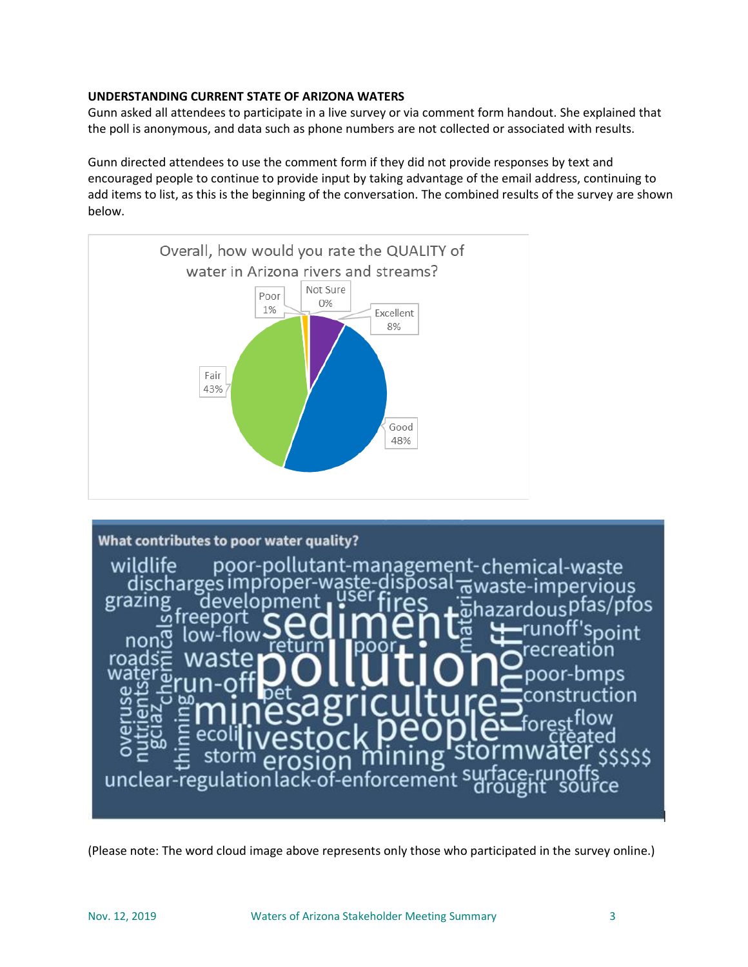# **UNDERSTANDING CURRENT STATE OF ARIZONA WATERS**

Gunn asked all attendees to participate in a live survey or via comment form handout. She explained that the poll is anonymous, and data such as phone numbers are not collected or associated with results.

Gunn directed attendees to use the comment form if they did not provide responses by text and encouraged people to continue to provide input by taking advantage of the email address, continuing to add items to list, as this is the beginning of the conversation. The combined results of the survey are shown below.





(Please note: The word cloud image above represents only those who participated in the survey online.)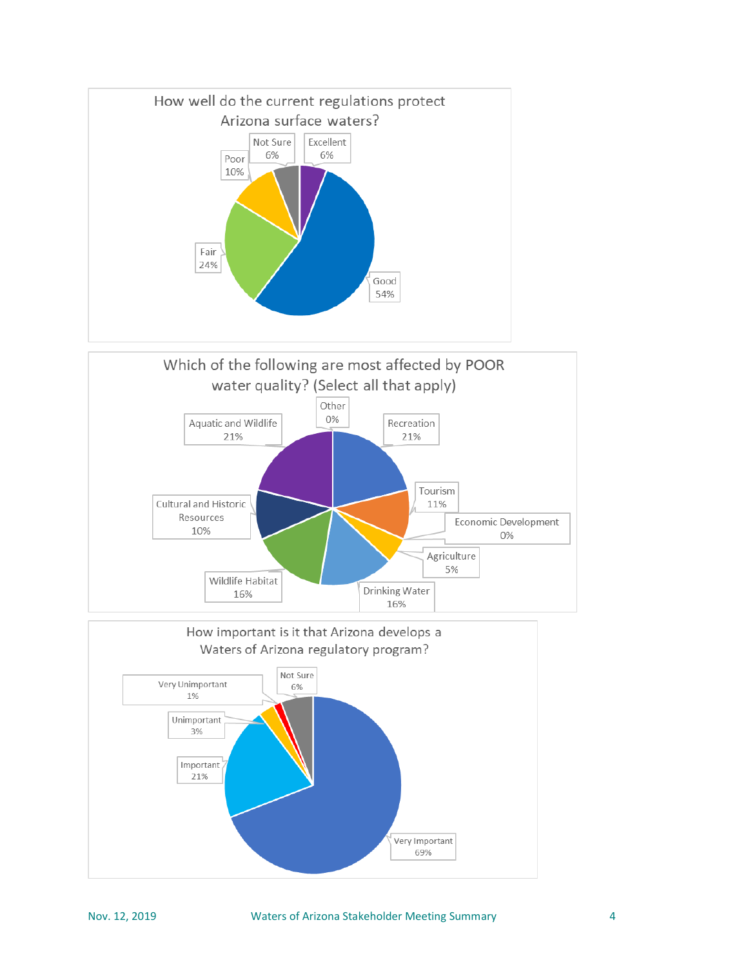



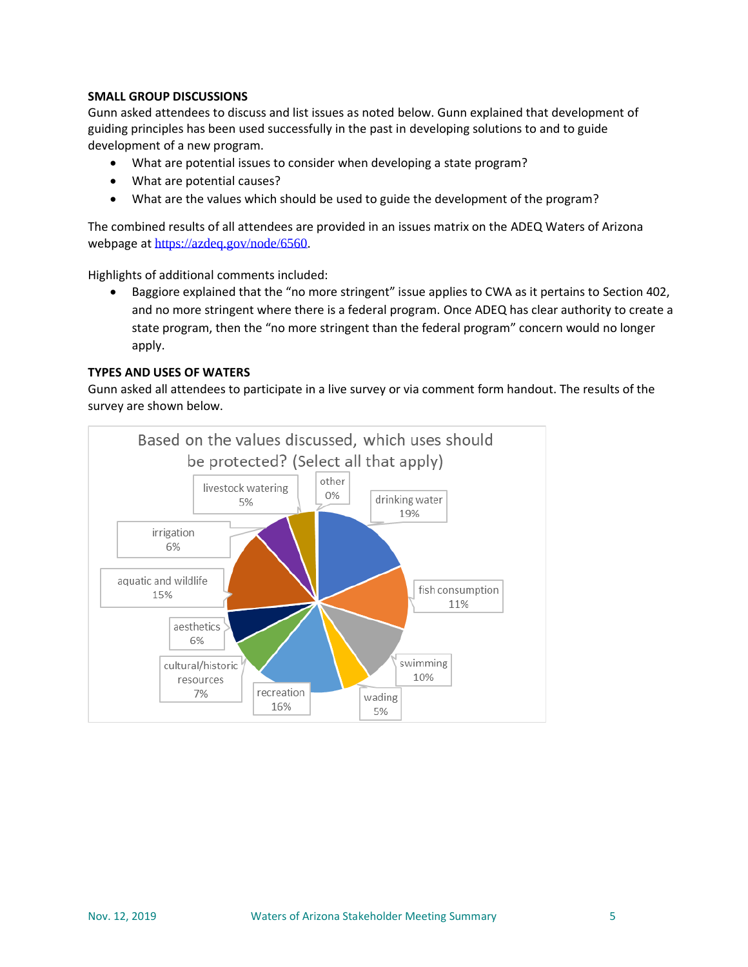## **SMALL GROUP DISCUSSIONS**

Gunn asked attendees to discuss and list issues as noted below. Gunn explained that development of guiding principles has been used successfully in the past in developing solutions to and to guide development of a new program.

- What are potential issues to consider when developing a state program?
- What are potential causes?
- What are the values which should be used to guide the development of the program?

The combined results of all attendees are provided in an issues matrix on the ADEQ Waters of Arizona webpage at [https://azdeq.gov/node/6560.](https://azdeq.gov/node/6560)

Highlights of additional comments included:

• Baggiore explained that the "no more stringent" issue applies to CWA as it pertains to Section 402, and no more stringent where there is a federal program. Once ADEQ has clear authority to create a state program, then the "no more stringent than the federal program" concern would no longer apply.

#### **TYPES AND USES OF WATERS**

Gunn asked all attendees to participate in a live survey or via comment form handout. The results of the survey are shown below.

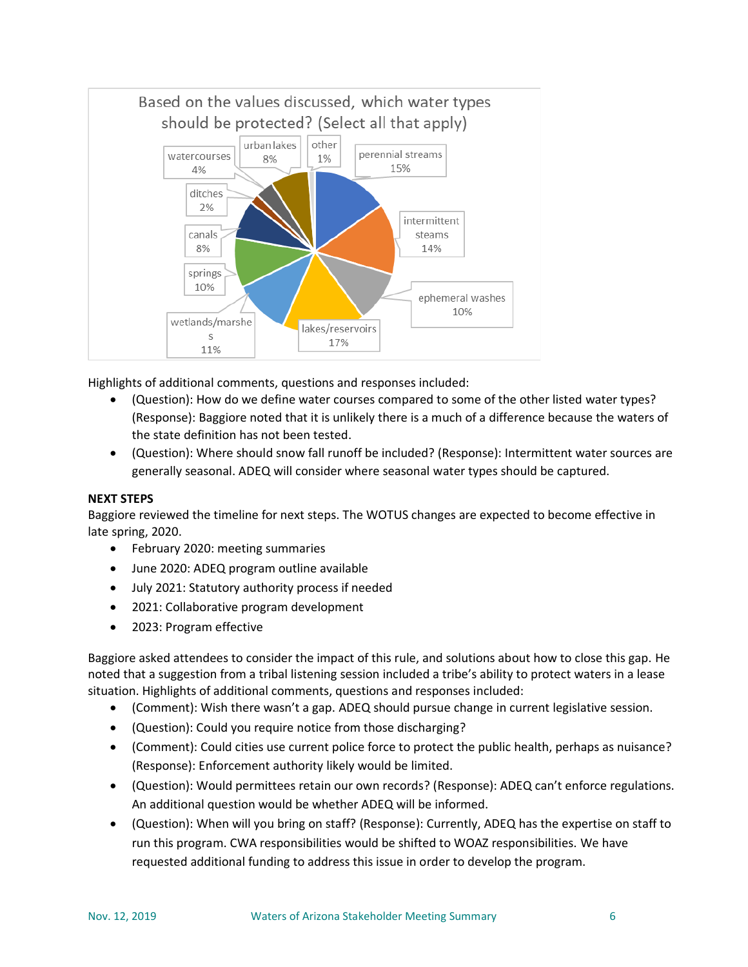

Highlights of additional comments, questions and responses included:

- (Question): How do we define water courses compared to some of the other listed water types? (Response): Baggiore noted that it is unlikely there is a much of a difference because the waters of the state definition has not been tested.
- (Question): Where should snow fall runoff be included? (Response): Intermittent water sources are generally seasonal. ADEQ will consider where seasonal water types should be captured.

## **NEXT STEPS**

Baggiore reviewed the timeline for next steps. The WOTUS changes are expected to become effective in late spring, 2020.

- February 2020: meeting summaries
- June 2020: ADEQ program outline available
- July 2021: Statutory authority process if needed
- 2021: Collaborative program development
- 2023: Program effective

Baggiore asked attendees to consider the impact of this rule, and solutions about how to close this gap. He noted that a suggestion from a tribal listening session included a tribe's ability to protect waters in a lease situation. Highlights of additional comments, questions and responses included:

- (Comment): Wish there wasn't a gap. ADEQ should pursue change in current legislative session.
- (Question): Could you require notice from those discharging?
- (Comment): Could cities use current police force to protect the public health, perhaps as nuisance? (Response): Enforcement authority likely would be limited.
- (Question): Would permittees retain our own records? (Response): ADEQ can't enforce regulations. An additional question would be whether ADEQ will be informed.
- (Question): When will you bring on staff? (Response): Currently, ADEQ has the expertise on staff to run this program. CWA responsibilities would be shifted to WOAZ responsibilities. We have requested additional funding to address this issue in order to develop the program.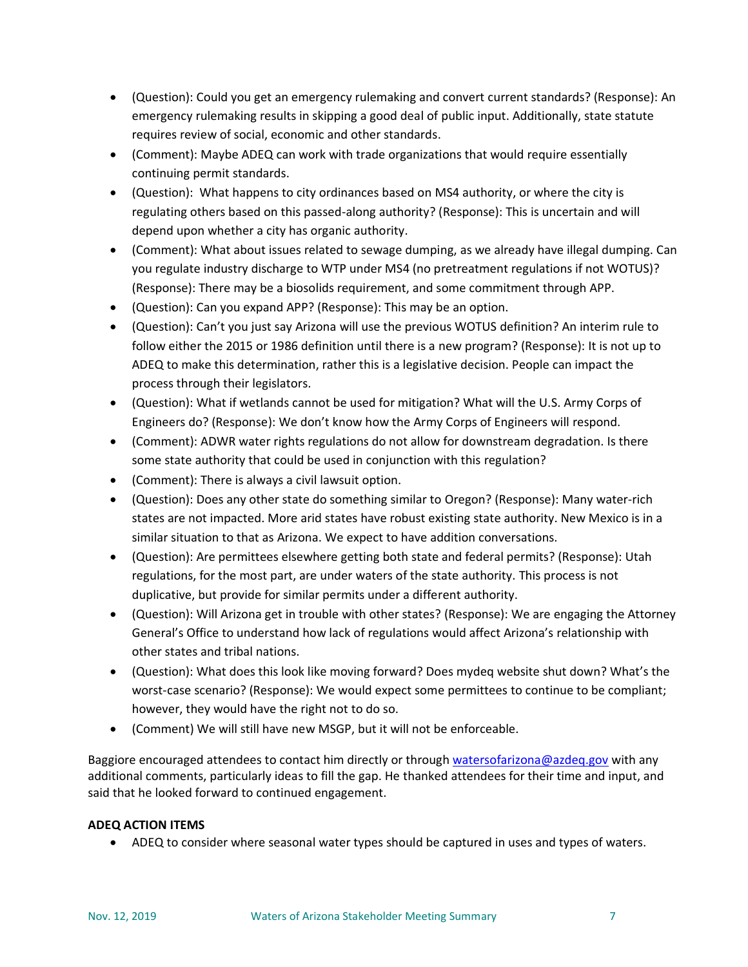- (Question): Could you get an emergency rulemaking and convert current standards? (Response): An emergency rulemaking results in skipping a good deal of public input. Additionally, state statute requires review of social, economic and other standards.
- (Comment): Maybe ADEQ can work with trade organizations that would require essentially continuing permit standards.
- (Question): What happens to city ordinances based on MS4 authority, or where the city is regulating others based on this passed-along authority? (Response): This is uncertain and will depend upon whether a city has organic authority.
- (Comment): What about issues related to sewage dumping, as we already have illegal dumping. Can you regulate industry discharge to WTP under MS4 (no pretreatment regulations if not WOTUS)? (Response): There may be a biosolids requirement, and some commitment through APP.
- (Question): Can you expand APP? (Response): This may be an option.
- (Question): Can't you just say Arizona will use the previous WOTUS definition? An interim rule to follow either the 2015 or 1986 definition until there is a new program? (Response): It is not up to ADEQ to make this determination, rather this is a legislative decision. People can impact the process through their legislators.
- (Question): What if wetlands cannot be used for mitigation? What will the U.S. Army Corps of Engineers do? (Response): We don't know how the Army Corps of Engineers will respond.
- (Comment): ADWR water rights regulations do not allow for downstream degradation. Is there some state authority that could be used in conjunction with this regulation?
- (Comment): There is always a civil lawsuit option.
- (Question): Does any other state do something similar to Oregon? (Response): Many water-rich states are not impacted. More arid states have robust existing state authority. New Mexico is in a similar situation to that as Arizona. We expect to have addition conversations.
- (Question): Are permittees elsewhere getting both state and federal permits? (Response): Utah regulations, for the most part, are under waters of the state authority. This process is not duplicative, but provide for similar permits under a different authority.
- (Question): Will Arizona get in trouble with other states? (Response): We are engaging the Attorney General's Office to understand how lack of regulations would affect Arizona's relationship with other states and tribal nations.
- (Question): What does this look like moving forward? Does mydeq website shut down? What's the worst-case scenario? (Response): We would expect some permittees to continue to be compliant; however, they would have the right not to do so.
- (Comment) We will still have new MSGP, but it will not be enforceable.

Baggiore encouraged attendees to contact him directly or throug[h watersofarizona@azdeq.gov](mailto:watersofarizona@azdeq.gov?subject=WOAZ) with any additional comments, particularly ideas to fill the gap. He thanked attendees for their time and input, and said that he looked forward to continued engagement.

# **ADEQ ACTION ITEMS**

• ADEQ to consider where seasonal water types should be captured in uses and types of waters.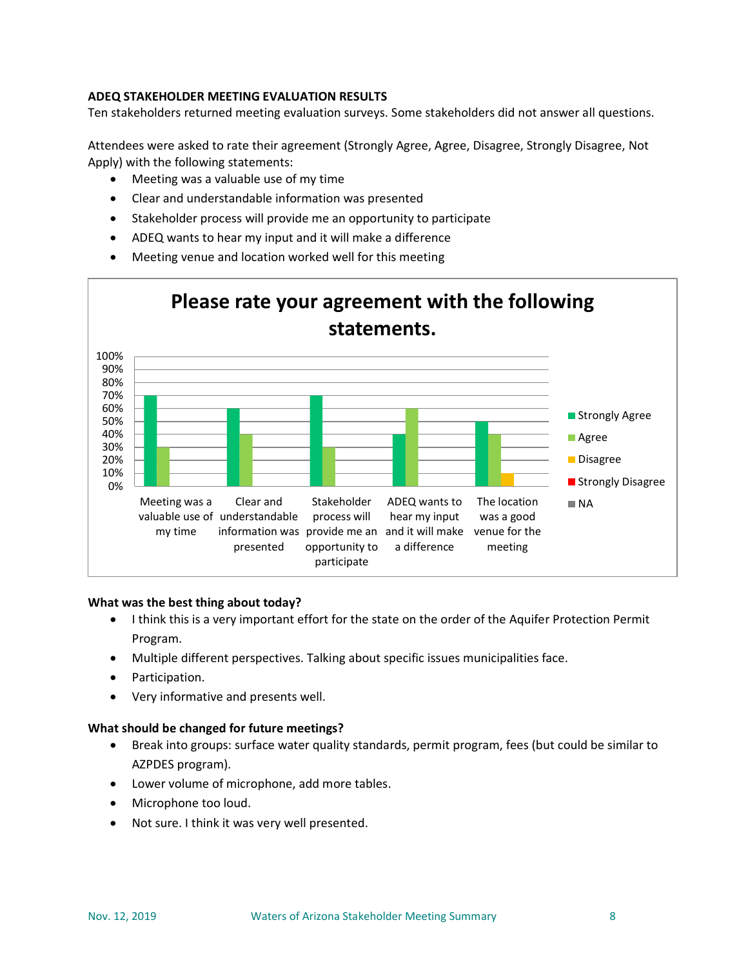# **ADEQ STAKEHOLDER MEETING EVALUATION RESULTS**

Ten stakeholders returned meeting evaluation surveys. Some stakeholders did not answer all questions.

Attendees were asked to rate their agreement (Strongly Agree, Agree, Disagree, Strongly Disagree, Not Apply) with the following statements:

- Meeting was a valuable use of my time
- Clear and understandable information was presented
- Stakeholder process will provide me an opportunity to participate
- ADEQ wants to hear my input and it will make a difference
- Meeting venue and location worked well for this meeting



#### **What was the best thing about today?**

- I think this is a very important effort for the state on the order of the Aquifer Protection Permit Program.
- Multiple different perspectives. Talking about specific issues municipalities face.
- Participation.
- Very informative and presents well.

#### **What should be changed for future meetings?**

- Break into groups: surface water quality standards, permit program, fees (but could be similar to AZPDES program).
- Lower volume of microphone, add more tables.
- Microphone too loud.
- Not sure. I think it was very well presented.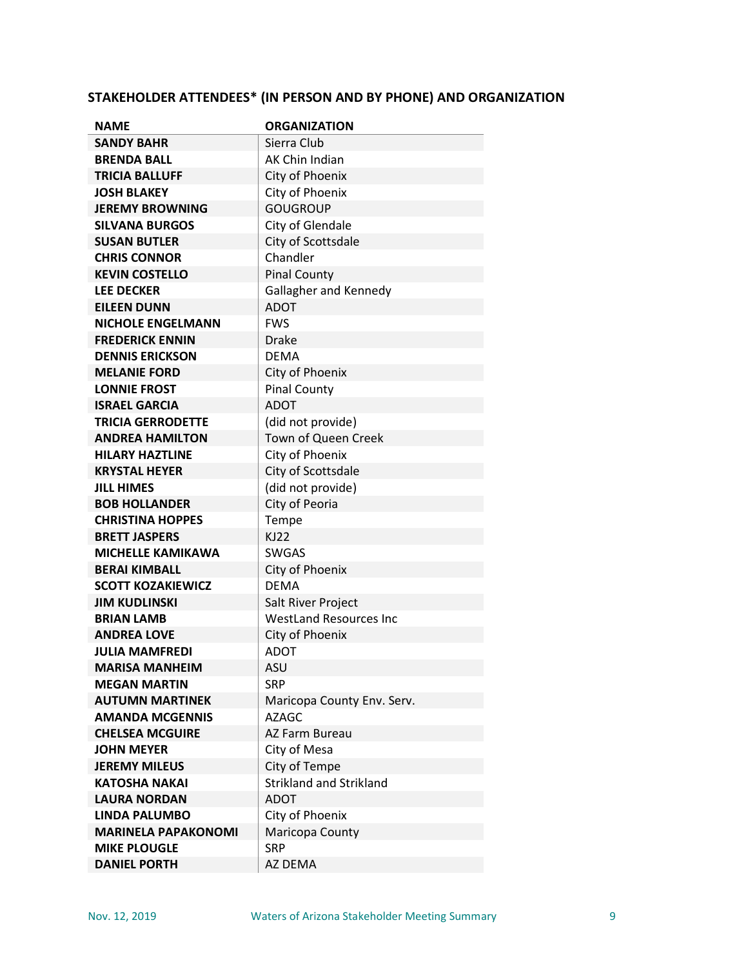# **STAKEHOLDER ATTENDEES\* (IN PERSON AND BY PHONE) AND ORGANIZATION**

| <b>NAME</b>                | <b>ORGANIZATION</b>           |
|----------------------------|-------------------------------|
| <b>SANDY BAHR</b>          | Sierra Club                   |
| <b>BRENDA BALL</b>         | AK Chin Indian                |
| <b>TRICIA BALLUFF</b>      | City of Phoenix               |
| <b>JOSH BLAKEY</b>         | City of Phoenix               |
| <b>JEREMY BROWNING</b>     | <b>GOUGROUP</b>               |
| <b>SILVANA BURGOS</b>      | City of Glendale              |
| <b>SUSAN BUTLER</b>        | City of Scottsdale            |
| <b>CHRIS CONNOR</b>        | Chandler                      |
| <b>KEVIN COSTELLO</b>      | <b>Pinal County</b>           |
| <b>LEE DECKER</b>          | Gallagher and Kennedy         |
| <b>EILEEN DUNN</b>         | <b>ADOT</b>                   |
| <b>NICHOLE ENGELMANN</b>   | <b>FWS</b>                    |
| <b>FREDERICK ENNIN</b>     | <b>Drake</b>                  |
| <b>DENNIS ERICKSON</b>     | <b>DEMA</b>                   |
| <b>MELANIE FORD</b>        | City of Phoenix               |
| <b>LONNIE FROST</b>        | <b>Pinal County</b>           |
| <b>ISRAEL GARCIA</b>       | <b>ADOT</b>                   |
| <b>TRICIA GERRODETTE</b>   | (did not provide)             |
| <b>ANDREA HAMILTON</b>     | Town of Queen Creek           |
| <b>HILARY HAZTLINE</b>     | City of Phoenix               |
| <b>KRYSTAL HEYER</b>       | City of Scottsdale            |
| <b>JILL HIMES</b>          | (did not provide)             |
| <b>BOB HOLLANDER</b>       | City of Peoria                |
| <b>CHRISTINA HOPPES</b>    | Tempe                         |
| <b>BRETT JASPERS</b>       | <b>KJ22</b>                   |
| <b>MICHELLE KAMIKAWA</b>   | <b>SWGAS</b>                  |
| <b>BERAI KIMBALL</b>       | City of Phoenix               |
| <b>SCOTT KOZAKIEWICZ</b>   | <b>DEMA</b>                   |
| <b>JIM KUDLINSKI</b>       | Salt River Project            |
| <b>BRIAN LAMB</b>          | <b>WestLand Resources Inc</b> |
| <b>ANDREA LOVE</b>         | City of Phoenix               |
| <b>JULIA MAMFREDI</b>      | <b>ADOT</b>                   |
| <b>MARISA MANHEIM</b>      | <b>ASU</b>                    |
| <b>MEGAN MARTIN</b>        | <b>SRP</b>                    |
| <b>AUTUMN MARTINEK</b>     | Maricopa County Env. Serv.    |
| <b>AMANDA MCGENNIS</b>     | AZAGC.                        |
| <b>CHELSEA MCGUIRE</b>     | AZ Farm Bureau                |
| <b>JOHN MEYER</b>          | City of Mesa                  |
| <b>JEREMY MILEUS</b>       | City of Tempe                 |
| <b>KATOSHA NAKAI</b>       | Strikland and Strikland       |
| <b>LAURA NORDAN</b>        | <b>ADOT</b>                   |
| <b>LINDA PALUMBO</b>       | City of Phoenix               |
| <b>MARINELA PAPAKONOMI</b> | Maricopa County               |
| <b>MIKE PLOUGLE</b>        | <b>SRP</b>                    |
| <b>DANIEL PORTH</b>        | AZ DEMA                       |